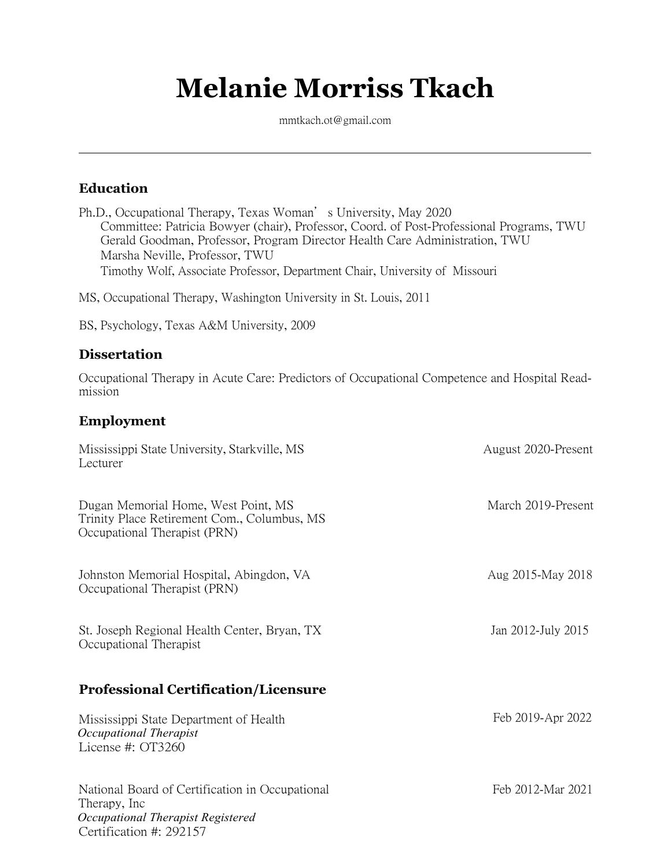# **Melanie Morriss Tkach**

[mmtkach.ot@gmail.com](mailto:mmtkach.ot@gmail.com)

## **Education**

Ph.D., Occupational Therapy, Texas Woman's University, May 2020 Committee: Patricia Bowyer (chair), Professor, Coord. of Post-Professional Programs, TWU Gerald Goodman, Professor, Program Director Health Care Administration, TWU Marsha Neville, Professor, TWU Timothy Wolf, Associate Professor, Department Chair, University of Missouri

MS, Occupational Therapy, Washington University in St. Louis, 2011

BS, Psychology, Texas A&M University, 2009

### **Dissertation**

Occupational Therapy in Acute Care: Predictors of Occupational Competence and Hospital Readmission

### **Employment**

| Mississippi State University, Starkville, MS<br>Lecturer                                                                         | August 2020-Present |
|----------------------------------------------------------------------------------------------------------------------------------|---------------------|
| Dugan Memorial Home, West Point, MS<br>Trinity Place Retirement Com., Columbus, MS<br>Occupational Therapist (PRN)               | March 2019-Present  |
| Johnston Memorial Hospital, Abingdon, VA<br>Occupational Therapist (PRN)                                                         | Aug 2015-May 2018   |
| St. Joseph Regional Health Center, Bryan, TX<br>Occupational Therapist                                                           | Jan 2012-July 2015  |
| <b>Professional Certification/Licensure</b>                                                                                      |                     |
| Mississippi State Department of Health<br>Occupational Therapist<br>License #: OT3260                                            | Feb 2019-Apr 2022   |
| National Board of Certification in Occupational<br>Therapy, Inc.<br>Occupational Therapist Registered<br>Certification #: 292157 | Feb 2012-Mar 2021   |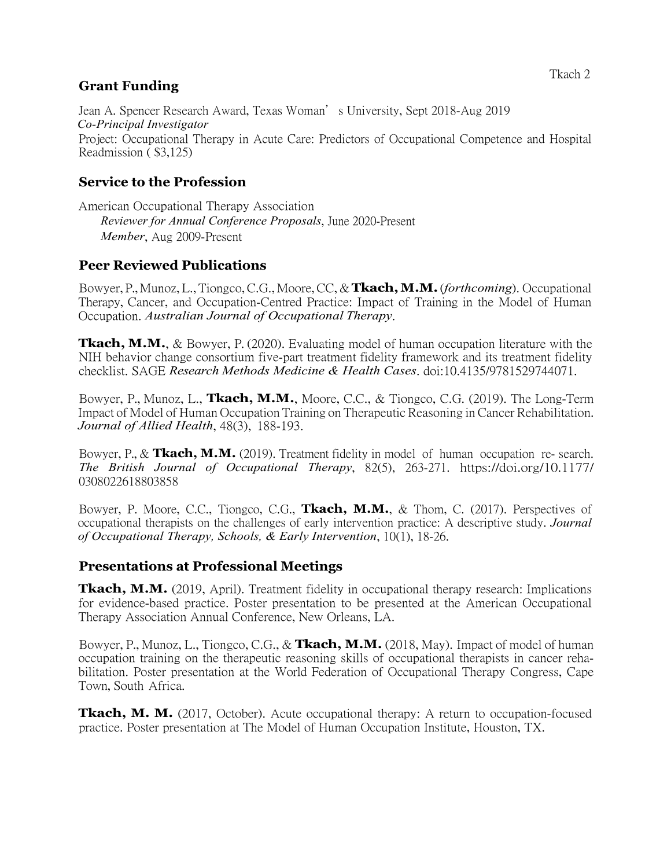### **Grant Funding**

Jean A. Spencer Research Award, Texas Woman's University, Sept 2018-Aug 2019 *Co-Principal Investigator* Project: Occupational Therapy in Acute Care: Predictors of Occupational Competence and Hospital Readmission ( \$3,125)

# **Service to the Profession**

American Occupational Therapy Association *Reviewer for Annual Conference Proposals*, June 2020-Present *Member*, Aug 2009-Present

### **Peer Reviewed Publications**

Bowyer, P.,Munoz, L., Tiongco,C.G., Moore, CC, & **Tkach,M.M.**(*forthcoming*). Occupational Therapy, Cancer, and Occupation-Centred Practice: Impact of Training in the Model of Human Occupation. *Australian Journal of Occupational Therapy*.

**Tkach, M.M.**, & Bowyer, P. (2020). Evaluating model of human occupation literature with the NIH behavior change consortium five-part treatment fidelity framework and its treatment fidelity checklist. SAGE *Research Methods Medicine & Health Cases*. doi:10.4135/9781529744071.

Bowyer, P., Munoz, L., **Tkach, M.M.**, Moore, C.C., & Tiongco, C.G. (2019). The Long-Term Impact of Model of Human Occupation Training on Therapeutic Reasoning in Cancer Rehabilitation. *Journal of Allied Health*, 48(3), 188-193.

Bowyer, P., & **Tkach, M.M.** (2019). Treatment fidelity in model of human occupation re- search. *The British Journal of Occupational Therapy*, 82(5), 263-271. [https://doi.org/10.1177/](https://doi.org/10.1177/0308022618803858) [0308022618803858](https://doi.org/10.1177/0308022618803858)

Bowyer, P. Moore, C.C., Tiongco, C.G., **Tkach, M.M.**, & Thom, C. (2017). Perspectives of occupational therapists on the challenges of early intervention practice: A descriptive study. *Journal of Occupational Therapy, Schools, & Early Intervention*, 10(1), 18-26.

### **Presentations at Professional Meetings**

**Tkach, M.M.** (2019, April). Treatment fidelity in occupational therapy research: Implications for evidence-based practice. Poster presentation to be presented at the American Occupational Therapy Association Annual Conference, New Orleans, LA.

Bowyer, P., Munoz, L., Tiongco, C.G., & **Tkach, M.M.** (2018, May). Impact of model of human occupation training on the therapeutic reasoning skills of occupational therapists in cancer rehabilitation. Poster presentation at the World Federation of Occupational Therapy Congress, Cape Town, South Africa.

**Tkach, M. M.** (2017, October). Acute occupational therapy: A return to occupation-focused practice. Poster presentation at The Model of Human Occupation Institute, Houston, TX.